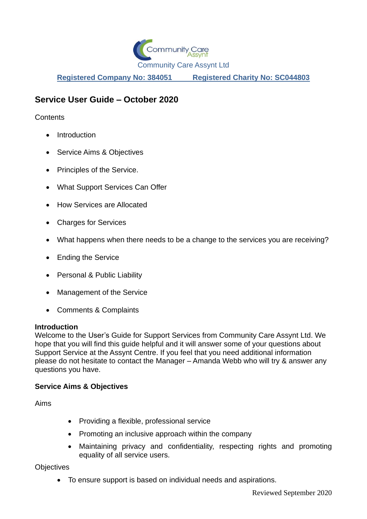

**Registered Company No: 384051 Registered Charity No: SC044803**

# **Service User Guide – October 2020**

**Contents** 

- Introduction
- Service Aims & Objectives
- Principles of the Service.
- What Support Services Can Offer
- How Services are Allocated
- Charges for Services
- What happens when there needs to be a change to the services you are receiving?
- Ending the Service
- Personal & Public Liability
- Management of the Service
- Comments & Complaints

### **Introduction**

Welcome to the User's Guide for Support Services from Community Care Assynt Ltd. We hope that you will find this guide helpful and it will answer some of your questions about Support Service at the Assynt Centre. If you feel that you need additional information please do not hesitate to contact the Manager – Amanda Webb who will try & answer any questions you have.

### **Service Aims & Objectives**

Aims

- Providing a flexible, professional service
- Promoting an inclusive approach within the company
- Maintaining privacy and confidentiality, respecting rights and promoting equality of all service users.

**Objectives** 

• To ensure support is based on individual needs and aspirations.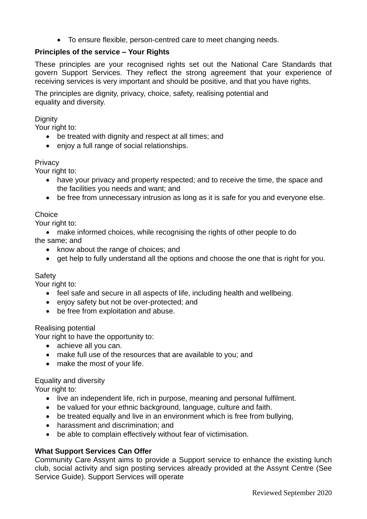• To ensure flexible, person-centred care to meet changing needs.

# **Principles of the service – Your Rights**

These principles are your recognised rights set out the National Care Standards that govern Support Services. They reflect the strong agreement that your experience of receiving services is very important and should be positive, and that you have rights.

The principles are dignity, privacy, choice, safety, realising potential and equality and diversity.

### **Dignity**

Your right to:

- be treated with dignity and respect at all times; and
- enjoy a full range of social relationships.

#### **Privacy**

Your right to:

- have your privacy and property respected; and to receive the time, the space and the facilities you needs and want; and
- be free from unnecessary intrusion as long as it is safe for you and everyone else.

### **Choice**

Your right to:

• make informed choices, while recognising the rights of other people to do the same; and

- know about the range of choices; and
- get help to fully understand all the options and choose the one that is right for you.

#### Safety

Your right to:

- feel safe and secure in all aspects of life, including health and wellbeing.
- enjoy safety but not be over-protected; and
- be free from exploitation and abuse.

Realising potential

Your right to have the opportunity to:

- achieve all you can.
- make full use of the resources that are available to you; and
- make the most of your life.

Equality and diversity

Your right to:

- live an independent life, rich in purpose, meaning and personal fulfilment.
- be valued for your ethnic background, language, culture and faith.
- be treated equally and live in an environment which is free from bullying,
- harassment and discrimination; and
- be able to complain effectively without fear of victimisation.

### **What Support Services Can Offer**

Community Care Assynt aims to provide a Support service to enhance the existing lunch club, social activity and sign posting services already provided at the Assynt Centre (See Service Guide). Support Services will operate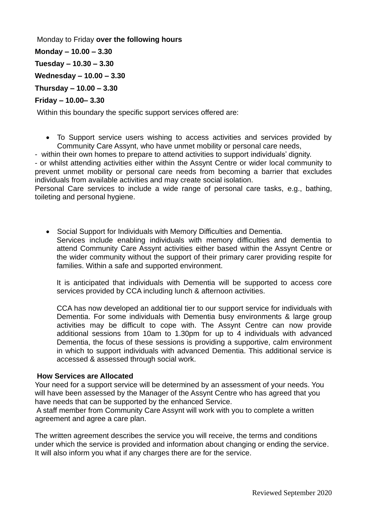Monday to Friday **over the following hours Monday – 10.00 – 3.30 Tuesday – 10.30 – 3.30 Wednesday – 10.00 – 3.30 Thursday – 10.00 – 3.30 Friday – 10.00– 3.30** 

Within this boundary the specific support services offered are:

- To Support service users wishing to access activities and services provided by Community Care Assynt, who have unmet mobility or personal care needs,
- within their own homes to prepare to attend activities to support individuals' dignity.

- or whilst attending activities either within the Assynt Centre or wider local community to prevent unmet mobility or personal care needs from becoming a barrier that excludes individuals from available activities and may create social isolation.

Personal Care services to include a wide range of personal care tasks, e.g., bathing, toileting and personal hygiene.

• Social Support for Individuals with Memory Difficulties and Dementia. Services include enabling individuals with memory difficulties and dementia to attend Community Care Assynt activities either based within the Assynt Centre or the wider community without the support of their primary carer providing respite for families. Within a safe and supported environment.

It is anticipated that individuals with Dementia will be supported to access core services provided by CCA including lunch & afternoon activities.

CCA has now developed an additional tier to our support service for individuals with Dementia. For some individuals with Dementia busy environments & large group activities may be difficult to cope with. The Assynt Centre can now provide additional sessions from 10am to 1.30pm for up to 4 individuals with advanced Dementia, the focus of these sessions is providing a supportive, calm environment in which to support individuals with advanced Dementia. This additional service is accessed & assessed through social work.

### **How Services are Allocated**

Your need for a support service will be determined by an assessment of your needs. You will have been assessed by the Manager of the Assynt Centre who has agreed that you have needs that can be supported by the enhanced Service.

A staff member from Community Care Assynt will work with you to complete a written agreement and agree a care plan.

The written agreement describes the service you will receive, the terms and conditions under which the service is provided and information about changing or ending the service. It will also inform you what if any charges there are for the service.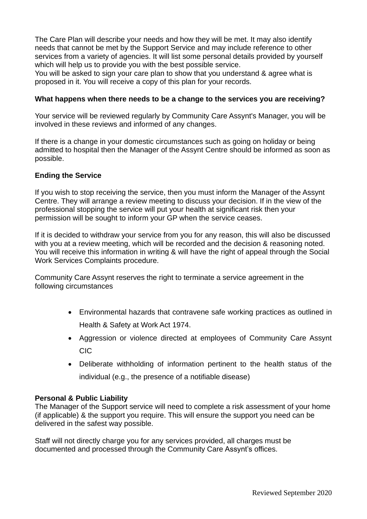The Care Plan will describe your needs and how they will be met. It may also identify needs that cannot be met by the Support Service and may include reference to other services from a variety of agencies. It will list some personal details provided by yourself which will help us to provide you with the best possible service.

You will be asked to sign your care plan to show that you understand & agree what is proposed in it. You will receive a copy of this plan for your records.

# **What happens when there needs to be a change to the services you are receiving?**

Your service will be reviewed regularly by Community Care Assynt's Manager, you will be involved in these reviews and informed of any changes.

If there is a change in your domestic circumstances such as going on holiday or being admitted to hospital then the Manager of the Assynt Centre should be informed as soon as possible.

# **Ending the Service**

If you wish to stop receiving the service, then you must inform the Manager of the Assynt Centre. They will arrange a review meeting to discuss your decision. If in the view of the professional stopping the service will put your health at significant risk then your permission will be sought to inform your GP when the service ceases.

If it is decided to withdraw your service from you for any reason, this will also be discussed with you at a review meeting, which will be recorded and the decision & reasoning noted. You will receive this information in writing & will have the right of appeal through the Social Work Services Complaints procedure.

Community Care Assynt reserves the right to terminate a service agreement in the following circumstances

- Environmental hazards that contravene safe working practices as outlined in Health & Safety at Work Act 1974.
- Aggression or violence directed at employees of Community Care Assynt CIC
- Deliberate withholding of information pertinent to the health status of the individual (e.g., the presence of a notifiable disease)

### **Personal & Public Liability**

The Manager of the Support service will need to complete a risk assessment of your home (if applicable) & the support you require. This will ensure the support you need can be delivered in the safest way possible.

Staff will not directly charge you for any services provided, all charges must be documented and processed through the Community Care Assynt's offices.